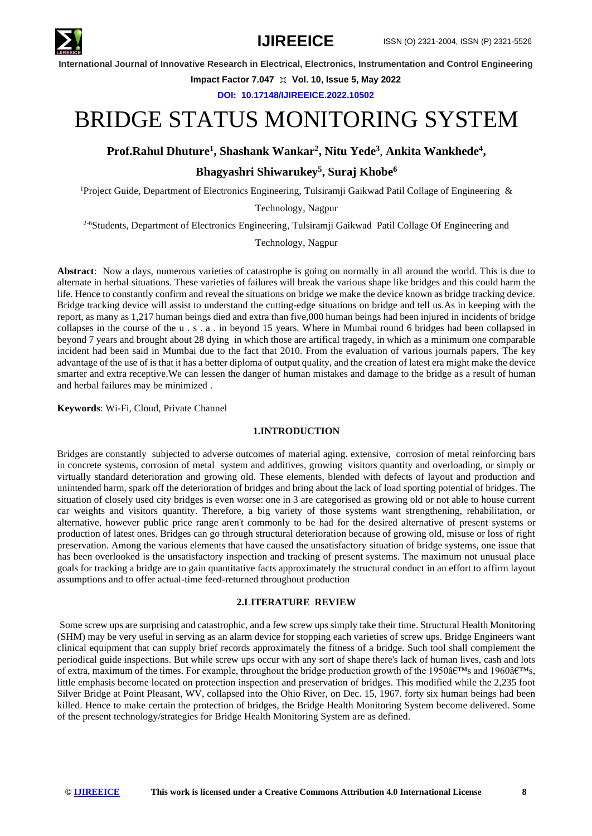

**Impact Factor 7.047**  $\cong$  **Vol. 10, Issue 5, May 2022** 

**DOI: 10.17148/IJIREEICE.2022.10502**

# BRIDGE STATUS MONITORING SYSTEM

**Prof.Rahul Dhuture<sup>1</sup> , Shashank Wankar<sup>2</sup> , Nitu Yede<sup>3</sup>** , **Ankita Wankhede<sup>4</sup> ,**

## **Bhagyashri Shiwarukey<sup>5</sup> , Suraj Khobe<sup>6</sup>**

<sup>1</sup>Project Guide, Department of Electronics Engineering, Tulsiramji Gaikwad Patil Collage of Engineering &

Technology, Nagpur

<sup>2-6</sup>Students, Department of Electronics Engineering, Tulsiramji Gaikwad Patil Collage Of Engineering and

Technology, Nagpur

**Abstract**: Now a days, numerous varieties of catastrophe is going on normally in all around the world. This is due to alternate in herbal situations. These varieties of failures will break the various shape like bridges and this could harm the life. Hence to constantly confirm and reveal the situations on bridge we make the device known as bridge tracking device. Bridge tracking device will assist to understand the cutting-edge situations on bridge and tell us.As in keeping with the report, as many as 1,217 human beings died and extra than five,000 human beings had been injured in incidents of bridge collapses in the course of the u . s . a . in beyond 15 years. Where in Mumbai round 6 bridges had been collapsed in beyond 7 years and brought about 28 dying in which those are artifical tragedy, in which as a minimum one comparable incident had been said in Mumbai due to the fact that 2010. From the evaluation of various journals papers, The key advantage of the use of is that it has a better diploma of output quality, and the creation of latest era might make the device smarter and extra receptive.We can lessen the danger of human mistakes and damage to the bridge as a result of human and herbal failures may be minimized .

**Keywords**: Wi-Fi, Cloud, Private Channel

### **1.INTRODUCTION**

Bridges are constantly subjected to adverse outcomes of material aging. extensive, corrosion of metal reinforcing bars in concrete systems, corrosion of metal system and additives, growing visitors quantity and overloading, or simply or virtually standard deterioration and growing old. These elements, blended with defects of layout and production and unintended harm, spark off the deterioration of bridges and bring about the lack of load sporting potential of bridges. The situation of closely used city bridges is even worse: one in 3 are categorised as growing old or not able to house current car weights and visitors quantity. Therefore, a big variety of those systems want strengthening, rehabilitation, or alternative, however public price range aren't commonly to be had for the desired alternative of present systems or production of latest ones. Bridges can go through structural deterioration because of growing old, misuse or loss of right preservation. Among the various elements that have caused the unsatisfactory situation of bridge systems, one issue that has been overlooked is the unsatisfactory inspection and tracking of present systems. The maximum not unusual place goals for tracking a bridge are to gain quantitative facts approximately the structural conduct in an effort to affirm layout assumptions and to offer actual-time feed-returned throughout production

### **2.LITERATURE REVIEW**

Some screw ups are surprising and catastrophic, and a few screw ups simply take their time. Structural Health Monitoring (SHM) may be very useful in serving as an alarm device for stopping each varieties of screw ups. Bridge Engineers want clinical equipment that can supply brief records approximately the fitness of a bridge. Such tool shall complement the periodical guide inspections. But while screw ups occur with any sort of shape there's lack of human lives, cash and lots of extra, maximum of the times. For example, throughout the bridge production growth of the 1950 $\hat{a}\in\mathbb{M}$ s and 1960 $\hat{a}\in\mathbb{M}$ s, little emphasis become located on protection inspection and preservation of bridges. This modified while the 2,235 foot Silver Bridge at Point Pleasant, WV, collapsed into the Ohio River, on Dec. 15, 1967. forty six human beings had been killed. Hence to make certain the protection of bridges, the Bridge Health Monitoring System become delivered. Some of the present technology/strategies for Bridge Health Monitoring System are as defined.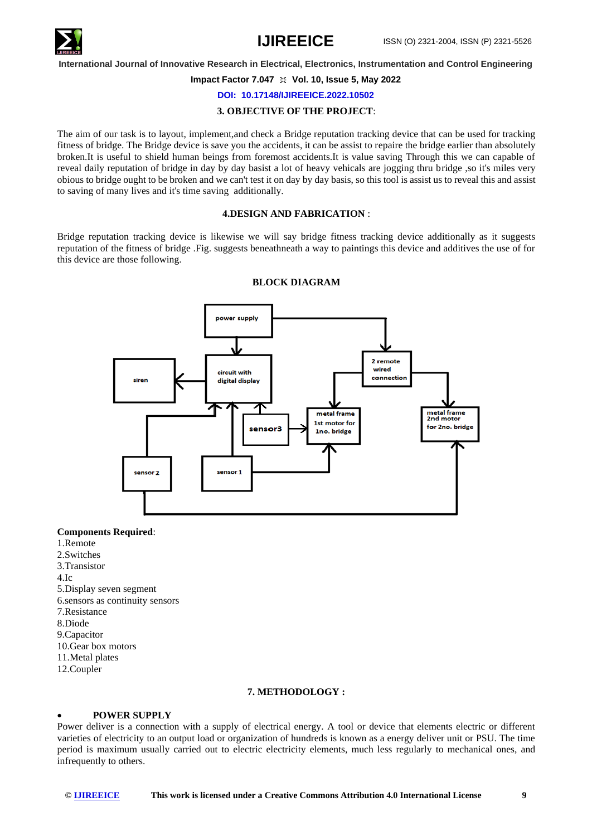

#### **Impact Factor 7.047**  $\cong$  **Vol. 10, Issue 5, May 2022**

#### **DOI: 10.17148/IJIREEICE.2022.10502**

#### **3. OBJECTIVE OF THE PROJECT**:

The aim of our task is to layout, implement,and check a Bridge reputation tracking device that can be used for tracking fitness of bridge. The Bridge device is save you the accidents, it can be assist to repaire the bridge earlier than absolutely broken.It is useful to shield human beings from foremost accidents.It is value saving Through this we can capable of reveal daily reputation of bridge in day by day basist a lot of heavy vehicals are jogging thru bridge ,so it's miles very obious to bridge ought to be broken and we can't test it on day by day basis, so this tool is assist us to reveal this and assist to saving of many lives and it's time saving additionally.

#### **4.DESIGN AND FABRICATION** :

Bridge reputation tracking device is likewise we will say bridge fitness tracking device additionally as it suggests reputation of the fitness of bridge .Fig. suggests beneathneath a way to paintings this device and additives the use of for this device are those following.



#### **BLOCK DIAGRAM**

#### **Components Required**:

- 1.Remote 2.Switches 3.Transistor 4.Ic 5.Display seven segment 6.sensors as continuity sensors 7.Resistance 8.Diode 9.Capacitor
- 10.Gear box motors
- 11.Metal plates
- 12.Coupler

#### **7. METHODOLOGY :**

### • **POWER SUPPLY**

Power deliver is a connection with a supply of electrical energy. A tool or device that elements electric or different varieties of electricity to an output load or organization of hundreds is known as a energy deliver unit or PSU. The time period is maximum usually carried out to electric electricity elements, much less regularly to mechanical ones, and infrequently to others.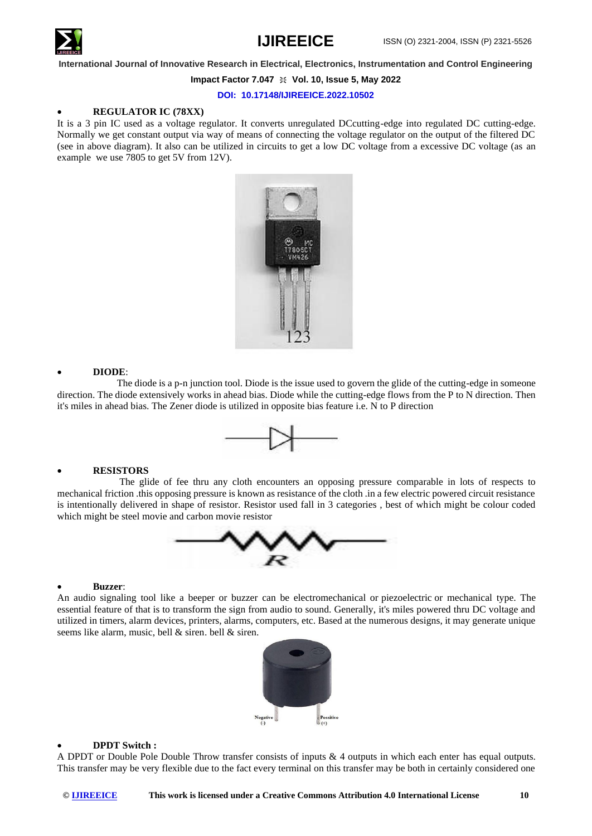

#### **Impact Factor 7.047**  $\cong$  **Vol. 10, Issue 5, May 2022**

**DOI: 10.17148/IJIREEICE.2022.10502**

#### • **REGULATOR IC (78XX)**

It is a 3 pin IC used as a voltage regulator. It converts unregulated DCcutting-edge into regulated DC cutting-edge. Normally we get constant output via way of means of connecting the voltage regulator on the output of the filtered DC (see in above diagram). It also can be utilized in circuits to get a low DC voltage from a excessive DC voltage (as an example we use 7805 to get 5V from 12V).



#### • **DIODE**:

 The diode is a p-n junction tool. Diode is the issue used to govern the glide of the cutting-edge in someone direction. The diode extensively works in ahead bias. Diode while the cutting-edge flows from the P to N direction. Then it's miles in ahead bias. The Zener diode is utilized in opposite bias feature i.e. N to P direction



### • **RESISTORS**

 The glide of fee thru any cloth encounters an opposing pressure comparable in lots of respects to mechanical friction .this opposing pressure is known as resistance of the cloth .in a few electric powered circuit resistance is intentionally delivered in shape of resistor. Resistor used fall in 3 categories , best of which might be colour coded which might be steel movie and carbon movie resistor



#### • **Buzzer**:

An audio signaling tool like a beeper or buzzer can be electromechanical or piezoelectric or mechanical type. The essential feature of that is to transform the sign from audio to sound. Generally, it's miles powered thru DC voltage and utilized in timers, alarm devices, printers, alarms, computers, etc. Based at the numerous designs, it may generate unique seems like alarm, music, bell & siren. bell & siren.



#### • **DPDT Switch :**

A DPDT or Double Pole Double Throw transfer consists of inputs & 4 outputs in which each enter has equal outputs. This transfer may be very flexible due to the fact every terminal on this transfer may be both in certainly considered one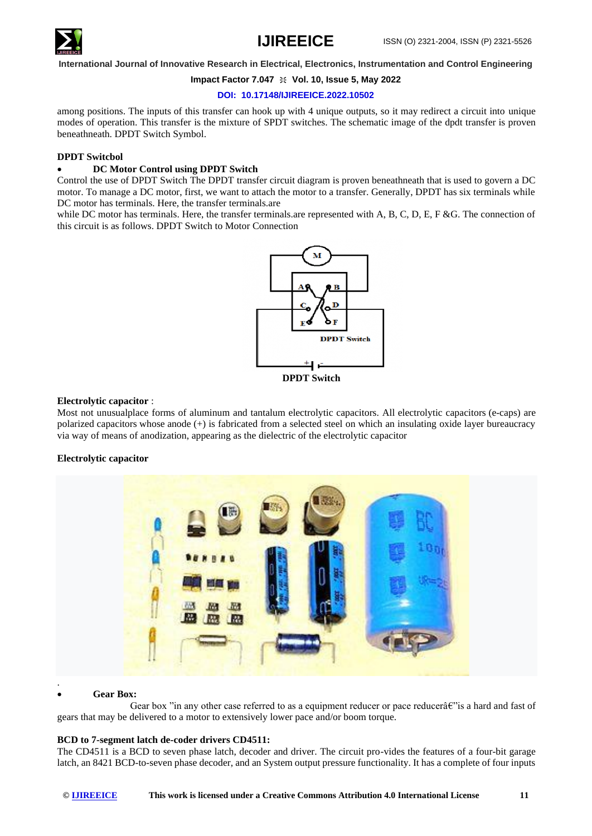

#### **Impact Factor 7.047**  $\cong$  **Vol. 10, Issue 5, May 2022**

#### **DOI: 10.17148/IJIREEICE.2022.10502**

among positions. The inputs of this transfer can hook up with 4 unique outputs, so it may redirect a circuit into unique modes of operation. This transfer is the mixture of SPDT switches. The schematic image of the dpdt transfer is proven beneathneath. DPDT Switch Symbol.

### **DPDT Switcbol**

### • **DC Motor Control using DPDT Switch**

Control the use of DPDT Switch The DPDT transfer circuit diagram is proven beneathneath that is used to govern a DC motor. To manage a DC motor, first, we want to attach the motor to a transfer. Generally, DPDT has six terminals while DC motor has terminals. Here, the transfer terminals.are

while DC motor has terminals. Here, the transfer terminals, are represented with A, B, C, D, E, F &G. The connection of this circuit is as follows. DPDT Switch to Motor Connection



#### **Electrolytic capacitor** :

Most not unusualplace forms of aluminum and tantalum electrolytic capacitors. All electrolytic capacitors (e-caps) are polarized capacitors whose anode (+) is fabricated from a selected steel on which an insulating oxide layer bureaucracy via way of means of anodization, appearing as the dielectric of the electrolytic capacitor

### **Electrolytic capacitor**



### • **Gear Box:**

Gear box "in any other case referred to as a equipment reducer or pace reducera $\varepsilon$ " is a hard and fast of gears that may be delivered to a motor to extensively lower pace and/or boom torque.

### **BCD to 7-segment latch de-coder drivers CD4511:**

The CD4511 is a BCD to seven phase latch, decoder and driver. The circuit pro-vides the features of a four-bit garage latch, an 8421 BCD-to-seven phase decoder, and an System output pressure functionality. It has a complete of four inputs